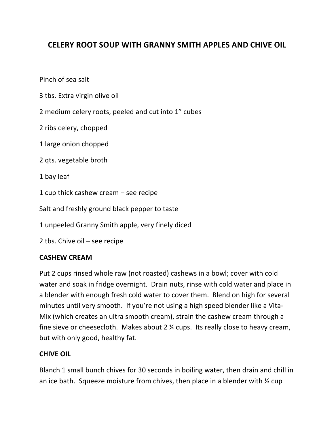## **CELERY ROOT SOUP WITH GRANNY SMITH APPLES AND CHIVE OIL**

Pinch of sea salt

- 3 tbs. Extra virgin olive oil
- 2 medium celery roots, peeled and cut into 1" cubes
- 2 ribs celery, chopped
- 1 large onion chopped
- 2 qts. vegetable broth
- 1 bay leaf
- 1  $cup$  thick cashew cream see recipe

Salt and freshly ground black pepper to taste

1 unpeeled Granny Smith apple, very finely diced

2 tbs. Chive  $oil - see$  recipe

## **CASHEW CREAM**

Put 2 cups rinsed whole raw (not roasted) cashews in a bowl; cover with cold water and soak in fridge overnight. Drain nuts, rinse with cold water and place in a blender with enough fresh cold water to cover them. Blend on high for several minutes until very smooth. If you're not using a high speed blender like a Vita-Mix (which creates an ultra smooth cream), strain the cashew cream through a fine sieve or cheesecloth. Makes about  $2 \frac{1}{4}$  cups. Its really close to heavy cream, but with only good, healthy fat.

## **CHIVE OIL**

Blanch 1 small bunch chives for 30 seconds in boiling water, then drain and chill in an ice bath. Squeeze moisture from chives, then place in a blender with  $\frac{1}{2}$  cup